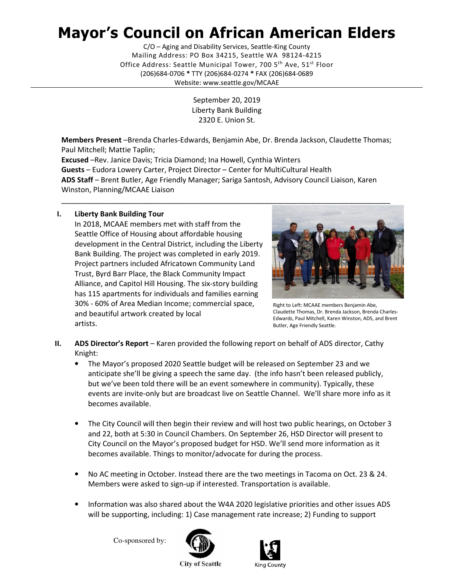## Mayor's Council on African American Elders

 Mailing Address: PO Box 34215, Seattle WA 98124-4215 Office Address: Seattle Municipal Tower, 700 5<sup>th</sup> Ave, 51<sup>st</sup> Floor (206)684-0706 \* TTY (206)684-0274 \* FAX (206)684-0689 C/O – Aging and Disability Services, Seattle-King County Website: <www.seattle.gov/MCAAE>

> September 20, 2019 Liberty Bank Building 2320 E. Union St.

Members Present -Brenda Charles-Edwards, Benjamin Abe, Dr. Brenda Jackson, Claudette Thomas; Paul Mitchell; Mattie Taplin;

Excused -Rev. Janice Davis; Tricia Diamond; Ina Howell, Cynthia Winters Guests - Eudora Lowery Carter, Project Director - Center for MultiCultural Health ADS Staff - Brent Butler, Age Friendly Manager; Sariga Santosh, Advisory Council Liaison, Karen Winston, Planning/MCAAE Liaison

## I. Liberty Bank Building Tour

 In 2018, MCAAE members met with staff from the Seattle Office of Housing about affordable housing development in the Central District, including the Liberty Bank Building. The project was completed in early 2019. Project partners included Africatown Community Land Trust, Byrd Barr Place, the Black Community Impact Alliance, and Capitol Hill Housing. The six-story building has 115 apartments for individuals and families earning 30% - 60% of Area Median Income; commercial space, Bight to Left: MCAAE members Benjamin Abe, Claudette Thomas, Dr. Brenda Jackson, Brenda Charles- and beautiful artwork created by local Edwards, Paul Mitchell, Karen Winston, ADS, and Brent artists. artists.<br>Butler, Age Friendly Seattle.



Right to Left: MCAAE members Benjamin Abe, Claudette Thomas, Dr. Brenda Jackson, Brenda Charles-Edwards, Paul Mitchell, Karen Winston, ADS, and Brent

- II. ADS Director's Report Karen provided the following report on behalf of ADS director, Cathy Knight:
	- • The Mayor's proposed 2020 Seattle budget will be released on September 23 and we anticipate she'll be giving a speech the same day. (the info hasn't been released publicly, but we've been told there will be an event somewhere in community). Typically, these events are invite-only but are broadcast live on Seattle Channel. We'll share more info as it becomes available.
	- • The City Council will then begin their review and will host two public hearings, on October 3 and 22, both at 5:30 in Council Chambers. On September 26, HSD Director will present to City Council on the Mayor's proposed budget for HSD. We'll send more information as it becomes available. Things to monitor/advocate for during the process.
	- • No AC meeting in October. Instead there are the two meetings in Tacoma on Oct. 23 & 24. Members were asked to sign-up if interested. Transportation is available.
	- • Information was also shared about the W4A 2020 legislative priorities and other issues ADS will be supporting, including: 1) Case management rate increase; 2) Funding to support

Co-sponsored by:





**City of Seattle**